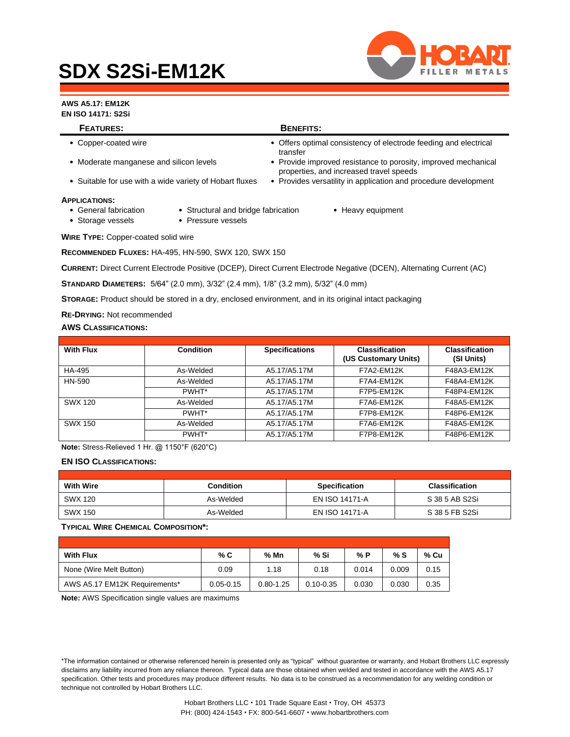# **SDX S2Si-EM12K**



### **AWS A5.17: EM12K**

**EN ISO 14171: S2Si**

| <b>FEATURES:</b>                                        |                                                           | <b>BENEFITS:</b>                                                                                          |                                                                  |  |  |
|---------------------------------------------------------|-----------------------------------------------------------|-----------------------------------------------------------------------------------------------------------|------------------------------------------------------------------|--|--|
| • Copper-coated wire                                    |                                                           | transfer                                                                                                  | • Offers optimal consistency of electrode feeding and electrical |  |  |
| • Moderate manganese and silicon levels                 |                                                           | • Provide improved resistance to porosity, improved mechanical<br>properties, and increased travel speeds |                                                                  |  |  |
| • Suitable for use with a wide variety of Hobart fluxes |                                                           | • Provides versatility in application and procedure development                                           |                                                                  |  |  |
| Applications:                                           |                                                           |                                                                                                           |                                                                  |  |  |
| • General fabrication<br>• Storage vessels              | • Structural and bridge fabrication<br>• Pressure vessels |                                                                                                           | • Heavy equipment                                                |  |  |

**WIRE TYPE:** Copper-coated solid wire

**RECOMMENDED FLUXES:** HA-495, HN-590, SWX 120, SWX 150

**CURRENT:** Direct Current Electrode Positive (DCEP), Direct Current Electrode Negative (DCEN), Alternating Current (AC)

**STANDARD DIAMETERS:** 5/64" (2.0 mm), 3/32" (2.4 mm), 1/8" (3.2 mm), 5/32" (4.0 mm)

**STORAGE:** Product should be stored in a dry, enclosed environment, and in its original intact packaging

**RE-DRYING:** Not recommended

#### **AWS CLASSIFICATIONS:**

| <b>With Flux</b> | <b>Condition</b> | <b>Specifications</b> | <b>Classification</b><br>(US Customary Units) | <b>Classification</b><br>(SI Units) |
|------------------|------------------|-----------------------|-----------------------------------------------|-------------------------------------|
| HA-495           | As-Welded        | A5.17/A5.17M          | <b>F7A2-EM12K</b>                             | F48A3-EM12K                         |
| HN-590           | As-Welded        | A5.17/A5.17M          | F7A4-EM12K                                    | F48A4-EM12K                         |
|                  | PWHT*            | A5.17/A5.17M          | F7P5-EM12K                                    | F48P4-EM12K                         |
| SWX 120          | As-Welded        | A5.17/A5.17M          | F7A6-EM12K                                    | F48A5-EM12K                         |
|                  | PWHT*            | A5.17/A5.17M          | F7P8-EM12K                                    | F48P6-EM12K                         |
| SWX 150          | As-Welded        | A5.17/A5.17M          | F7A6-EM12K                                    | F48A5-EM12K                         |
|                  | PWHT*            | A5.17/A5.17M          | F7P8-EM12K                                    | F48P6-EM12K                         |

**Note:** Stress-Relieved 1 Hr. @ 1150°F (620°C)

#### **EN ISO CLASSIFICATIONS:**

| <b>With Wire</b> | <b>Condition</b> | <b>Specification</b> | <b>Classification</b> |
|------------------|------------------|----------------------|-----------------------|
| SWX 120          | As-Welded        | EN ISO 14171-A       | S 38 5 AB S2Si        |
| SWX 150          | As-Welded        | EN ISO 14171-A       | S 38 5 FB S2Si        |

#### **TYPICAL WIRE CHEMICAL COMPOSITION\*:**

| <b>With Flux</b>              | % C           | $%$ Mn        | % Si          | % P   | % S   | % Cu |
|-------------------------------|---------------|---------------|---------------|-------|-------|------|
| None (Wire Melt Button)       | 0.09          | 1.18          | 0.18          | 0.014 | 0.009 | 0.15 |
| AWS A5.17 EM12K Requirements* | $0.05 - 0.15$ | $0.80 - 1.25$ | $0.10 - 0.35$ | 0.030 | 0.030 | 0.35 |

**Note:** AWS Specification single values are maximums

\*The information contained or otherwise referenced herein is presented only as "typical" without guarantee or warranty, and Hobart Brothers LLC expressly disclaims any liability incurred from any reliance thereon. Typical data are those obtained when welded and tested in accordance with the AWS A5.17 specification. Other tests and procedures may produce different results. No data is to be construed as a recommendation for any welding condition or technique not controlled by Hobart Brothers LLC.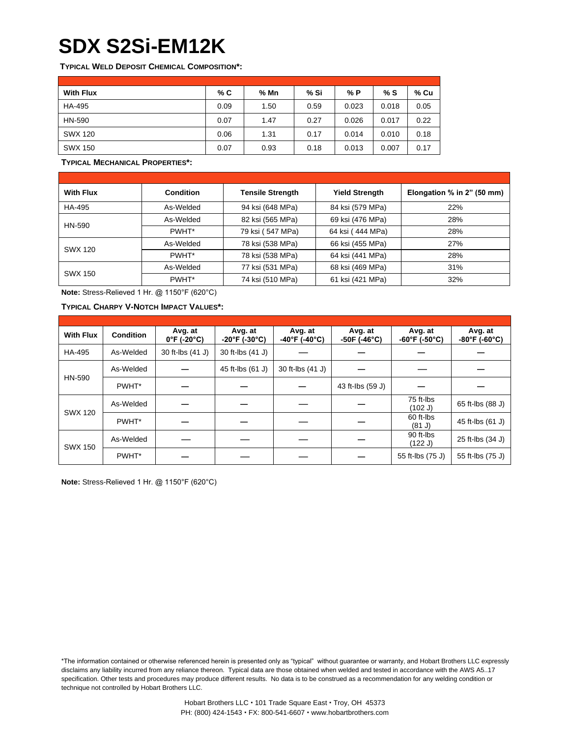# **SDX S2Si-EM12K**

**TYPICAL WELD DEPOSIT CHEMICAL COMPOSITION\*:**

| <b>With Flux</b> | % C  | % Mn | % Si | % P   | % S   | % Cu |
|------------------|------|------|------|-------|-------|------|
| HA-495           | 0.09 | 1.50 | 0.59 | 0.023 | 0.018 | 0.05 |
| HN-590           | 0.07 | 1.47 | 0.27 | 0.026 | 0.017 | 0.22 |
| SWX 120          | 0.06 | 1.31 | 0.17 | 0.014 | 0.010 | 0.18 |
| <b>SWX 150</b>   | 0.07 | 0.93 | 0.18 | 0.013 | 0.007 | 0.17 |

**TYPICAL MECHANICAL PROPERTIES\*:**

| <b>With Flux</b> | <b>Condition</b> | Tensile Strength | <b>Yield Strength</b> | Elongation % in 2" (50 mm) |
|------------------|------------------|------------------|-----------------------|----------------------------|
| HA-495           | As-Welded        | 94 ksi (648 MPa) | 84 ksi (579 MPa)      | 22%                        |
| HN-590           | As-Welded        | 82 ksi (565 MPa) | 69 ksi (476 MPa)      | 28%                        |
|                  | PWHT*            | 79 ksi (547 MPa) | 64 ksi (444 MPa)      | 28%                        |
| SWX 120          | As-Welded        | 78 ksi (538 MPa) | 66 ksi (455 MPa)      | 27%                        |
|                  | PWHT*            | 78 ksi (538 MPa) | 64 ksi (441 MPa)      | 28%                        |
| <b>SWX 150</b>   | As-Welded        | 77 ksi (531 MPa) | 68 ksi (469 MPa)      | 31%                        |
|                  | PWHT*            | 74 ksi (510 MPa) | 61 ksi (421 MPa)      | 32%                        |

**Note:** Stress-Relieved 1 Hr. @ 1150°F (620°C)

**TYPICAL CHARPY V-NOTCH IMPACT VALUES\*:**

| <b>With Flux</b> | <b>Condition</b> | Avg. at<br>$0^{\circ}$ F (-20 $^{\circ}$ C) | Avg. at<br>$-20^{\circ}$ F (-30 $^{\circ}$ C) | Avg. at<br>$-40^{\circ}$ F (-40 $^{\circ}$ C) | Avg. at<br>$-50F$ (-46°C) | Avg. at<br>$-60^{\circ}$ F (-50 $^{\circ}$ C) | Avg. at<br>$-80^{\circ}$ F (-60 $^{\circ}$ C) |
|------------------|------------------|---------------------------------------------|-----------------------------------------------|-----------------------------------------------|---------------------------|-----------------------------------------------|-----------------------------------------------|
| HA-495           | As-Welded        | 30 ft-lbs (41 J)                            | 30 ft-lbs (41 J)                              |                                               |                           |                                               |                                               |
|                  | As-Welded        |                                             | 45 ft-lbs (61 J)                              | 30 ft-lbs (41 J)                              |                           |                                               |                                               |
| HN-590           | PWHT*            |                                             |                                               |                                               | 43 ft-lbs (59 J)          |                                               |                                               |
|                  | As-Welded        |                                             |                                               |                                               |                           | 75 ft-lbs<br>(102 J)                          | 65 ft-lbs (88 J)                              |
| <b>SWX 120</b>   | PWHT*            |                                             |                                               |                                               |                           | 60 ft-lbs<br>(81 J)                           | 45 ft-lbs (61 J)                              |
| <b>SWX 150</b>   | As-Welded        |                                             |                                               |                                               |                           | 90 ft-lbs<br>(122 J)                          | 25 ft-lbs (34 J)                              |
|                  | PWHT*            |                                             |                                               |                                               |                           | 55 ft-lbs (75 J)                              | 55 ft-lbs (75 J)                              |

**Note:** Stress-Relieved 1 Hr. @ 1150°F (620°C)

\*The information contained or otherwise referenced herein is presented only as "typical" without guarantee or warranty, and Hobart Brothers LLC expressly disclaims any liability incurred from any reliance thereon. Typical data are those obtained when welded and tested in accordance with the AWS A5..17 specification. Other tests and procedures may produce different results. No data is to be construed as a recommendation for any welding condition or technique not controlled by Hobart Brothers LLC.